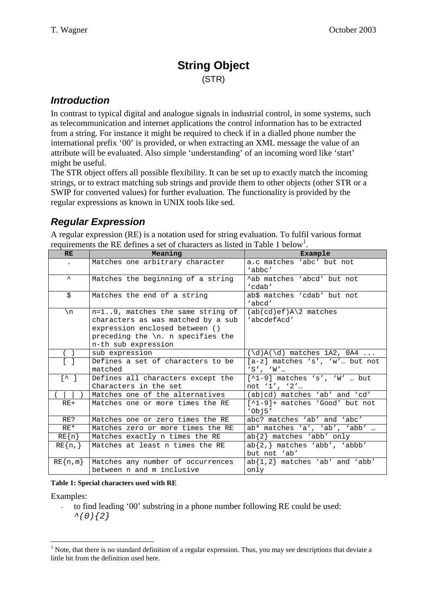# **String Object** (STR)

### *Introduction*

In contrast to typical digital and analogue signals in industrial control, in some systems, such as telecommunication and internet applications the control information has to be extracted from a string. For instance it might be required to check if in a dialled phone number the international prefix '00' is provided, or when extracting an XML message the value of an attribute will be evaluated. Also simple 'understanding' of an incoming word like 'start' might be useful.

The STR object offers all possible flexibility. It can be set up to exactly match the incoming strings, or to extract matching sub strings and provide them to other objects (other STR or a SWIP for converted values) for further evaluation. The functionality is provided by the regular expressions as known in UNIX tools like sed.

# *Regular Expression*

A regular expression (RE) is a notation used for string evaluation. To fulfil various format requirements the RE defines a set of characters as listed in Table 1 below<sup>1</sup>.

| <b>RE</b>                                    | Meaning                                                                                                                                                                        | Example                                           |
|----------------------------------------------|--------------------------------------------------------------------------------------------------------------------------------------------------------------------------------|---------------------------------------------------|
|                                              | Matches one arbitrary character                                                                                                                                                | a.c matches 'abc' but not<br>'abbc'               |
| $\lambda$                                    | Matches the beginning of a string                                                                                                                                              | ^ab matches 'abcd' but not<br>'cdab'              |
| \$                                           | Matches the end of a string                                                                                                                                                    | ab\$ matches 'cdab' but not<br>'abcd'             |
| \n                                           | n=19, matches the same string of<br>characters as was matched by a sub<br>expression enclosed between ()<br>preceding the $\n\times$ n. n specifies the<br>n-th sub expression | $(ab(cd)ef)A\2$ matches<br>'abcdefAcd'            |
| sub expression                               |                                                                                                                                                                                | $(\dagger d)A(\dagger)$ matches 1A2, 0A4          |
| Defines a set of characters to be<br>matched |                                                                                                                                                                                | $[a-z]$ matches 's', 'w' but not<br>'S', 'W'      |
| $[\wedge]$                                   | Defines all characters except the<br>Characters in the set                                                                                                                     | $[^1-9]$ matches 's', 'W'  but<br>not $1', '2', $ |
|                                              | Matches one of the alternatives                                                                                                                                                | (ab cd) matches `ab' and `cd'                     |
| $RE+$                                        | Matches one or more times the RE                                                                                                                                               | [^1-9]+ matches 'Good' but not<br>'Obj5'          |
| RE?                                          | Matches one or zero times the RE                                                                                                                                               | abc? matches 'ab' and 'abc'                       |
| $RE*$                                        | Matches zero or more times the RE                                                                                                                                              | ab* matches 'a', 'ab', 'abb'                      |
| $RE{n}$                                      | Matches exactly n times the RE                                                                                                                                                 | $ab{2}$ matches 'abb' only                        |
| $RE{n,}$                                     | Matches at least n times the RE                                                                                                                                                | $ab{2,}$ matches 'abb', 'abbb'<br>but not 'ab'    |
| $RE\{n,m\}$                                  | Matches any number of occurrences<br>between n and m inclusive                                                                                                                 | $ab{1,2}$ matches 'ab' and 'abb'<br>only          |

**Table 1: Special characters used with RE**

Examples:

- to find leading '00' substring in a phone number following RE could be used: *^(0){2}*

<sup>&</sup>lt;sup>1</sup> Note, that there is no standard definition of a regular expression. Thus, you may see descriptions that deviate a little bit from the definition used here.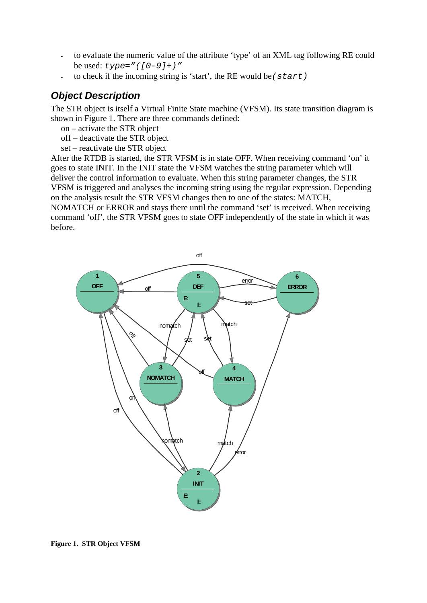- to evaluate the numeric value of the attribute 'type' of an XML tag following RE could be used: *type="([0-9]+)"*
- to check if the incoming string is 'start', the RE would be*(start)*

## *Object Description*

before.

The STR object is itself a Virtual Finite State machine (VFSM). Its state transition diagram is shown in Figure 1. There are three commands defined:

- on activate the STR object
- off deactivate the STR object
- set reactivate the STR object

After the RTDB is started, the STR VFSM is in state OFF. When receiving command 'on' it goes to state INIT. In the INIT state the VFSM watches the string parameter which will deliver the control information to evaluate. When this string parameter changes, the STR VFSM is triggered and analyses the incoming string using the regular expression. Depending on the analysis result the STR VFSM changes then to one of the states: MATCH, NOMATCH or ERROR and stays there until the command 'set' is received. When receiving command 'off', the STR VFSM goes to state OFF independently of the state in which it was



**Figure 1. STR Object VFSM**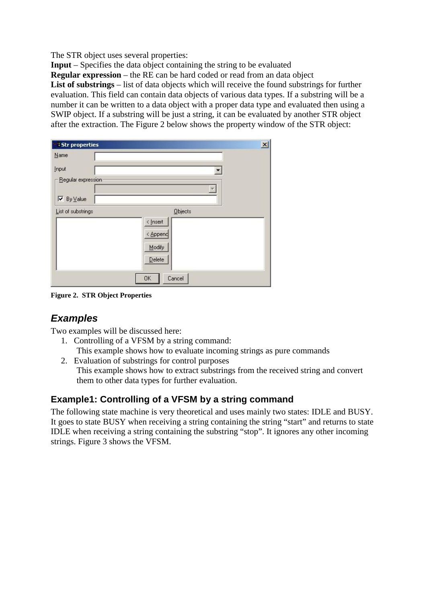The STR object uses several properties:

**Input** – Specifies the data object containing the string to be evaluated

**Regular expression** – the RE can be hard coded or read from an data object

List of substrings – list of data objects which will receive the found substrings for further evaluation. This field can contain data objects of various data types. If a substring will be a number it can be written to a data object with a proper data type and evaluated then using a SWIP object. If a substring will be just a string, it can be evaluated by another STR object after the extraction. The Figure 2 below shows the property window of the STR object:

| <b>Str properties</b>                   |                      | $\mathbf{X}$ |
|-----------------------------------------|----------------------|--------------|
| $N$ ame                                 |                      |              |
| Input                                   |                      |              |
| Regular expression<br>$\nabla$ By Value | ×                    |              |
| List of substrings                      | <b>Objects</b>       |              |
|                                         | < Insert<br>< Append |              |
|                                         | Modify<br>Delete     |              |
|                                         | OK<br>Cancel         |              |

**Figure 2. STR Object Properties**

## *Examples*

Two examples will be discussed here:

- 1. Controlling of a VFSM by a string command:
- This example shows how to evaluate incoming strings as pure commands
- 2. Evaluation of substrings for control purposes This example shows how to extract substrings from the received string and convert them to other data types for further evaluation.

### **Example1: Controlling of a VFSM by a string command**

The following state machine is very theoretical and uses mainly two states: IDLE and BUSY. It goes to state BUSY when receiving a string containing the string "start" and returns to state IDLE when receiving a string containing the substring "stop". It ignores any other incoming strings. Figure 3 shows the VFSM.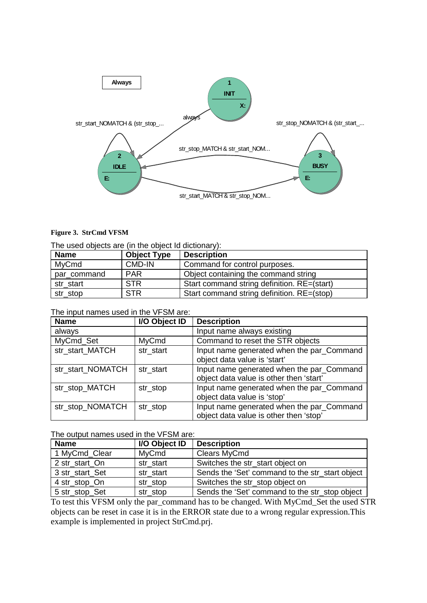

#### **Figure 3. StrCmd VFSM**

| The used objects are (in the object Id dictionary): |  |  |  |  |  |
|-----------------------------------------------------|--|--|--|--|--|
|-----------------------------------------------------|--|--|--|--|--|

| <b>Name</b> | <b>Object Type</b> | <b>Description</b>                          |
|-------------|--------------------|---------------------------------------------|
| MyCmd       | CMD-IN             | Command for control purposes.               |
| par_command | <b>PAR</b>         | Object containing the command string        |
| str start   | <b>STR</b>         | Start command string definition. RE=(start) |
| str_stop    | <b>STR</b>         | Start command string definition. RE=(stop)  |

#### The input names used in the VFSM are:

| <b>Name</b>       | I/O Object ID | <b>Description</b>                                                                   |
|-------------------|---------------|--------------------------------------------------------------------------------------|
| always            |               | Input name always existing                                                           |
| MyCmd_Set         | MyCmd         | Command to reset the STR objects                                                     |
| str_start_MATCH   | str_start     | Input name generated when the par_Command<br>object data value is 'start'            |
| str start NOMATCH | str start     | Input name generated when the par_Command<br>object data value is other then 'start' |
| str_stop_MATCH    | str_stop      | Input name generated when the par_Command<br>object data value is 'stop'             |
| str_stop_NOMATCH  | str_stop      | Input name generated when the par_Command<br>object data value is other then 'stop'  |

The output names used in the VFSM are:

| <b>Name</b>     | I/O Object ID | <b>Description</b>                              |
|-----------------|---------------|-------------------------------------------------|
| 1 MyCmd_Clear   | MyCmd         | Clears MyCmd                                    |
| 2 str start On  | str start     | Switches the str_start object on                |
| 3 str_start_Set | str start     | Sends the 'Set' command to the str_start object |
| 4 str_stop_On   | str_stop      | Switches the str_stop object on                 |
| 5 str_stop_Set  | str_stop      | Sends the 'Set' command to the str_stop object  |

To test this VFSM only the par\_command has to be changed. With MyCmd\_Set the used STR objects can be reset in case it is in the ERROR state due to a wrong regular expression.This example is implemented in project StrCmd.prj.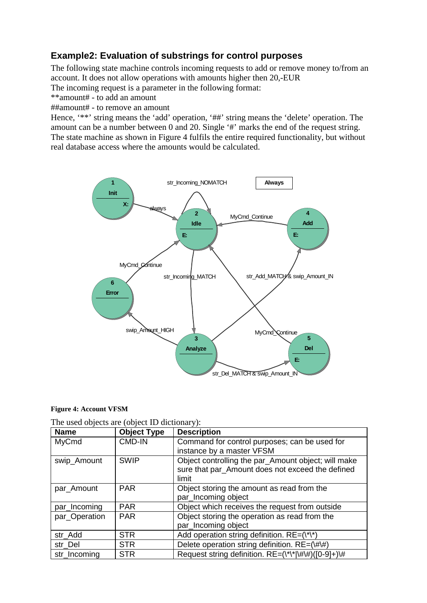### **Example2: Evaluation of substrings for control purposes**

The following state machine controls incoming requests to add or remove money to/from an account. It does not allow operations with amounts higher then 20,-EUR

The incoming request is a parameter in the following format:

\*\*amount# - to add an amount

##amount# - to remove an amount

Hence, '\*\*' string means the 'add' operation, '##' string means the 'delete' operation. The amount can be a number between 0 and 20. Single '#' marks the end of the request string. The state machine as shown in Figure 4 fulfils the entire required functionality, but without real database access where the amounts would be calculated.



#### **Figure 4: Account VFSM**

| The used objects are (object ID dictionary): |  |  |  |  |
|----------------------------------------------|--|--|--|--|
|----------------------------------------------|--|--|--|--|

| <b>Name</b>   | <b>Object Type</b> | <b>Description</b>                                                                                               |
|---------------|--------------------|------------------------------------------------------------------------------------------------------------------|
| MyCmd         | <b>CMD-IN</b>      | Command for control purposes; can be used for                                                                    |
|               |                    | instance by a master VFSM                                                                                        |
| swip_Amount   | <b>SWIP</b>        | Object controlling the par_Amount object; will make<br>sure that par_Amount does not exceed the defined<br>limit |
| par_Amount    | <b>PAR</b>         | Object storing the amount as read from the                                                                       |
|               |                    | par_Incoming object                                                                                              |
| par_Incoming  | <b>PAR</b>         | Object which receives the request from outside                                                                   |
| par_Operation | <b>PAR</b>         | Object storing the operation as read from the                                                                    |
|               |                    | par_Incoming object                                                                                              |
| str_Add       | <b>STR</b>         | Add operation string definition. $RE = (\lambda^* \lambda^*)$                                                    |
| str Del       | <b>STR</b>         | Delete operation string definition. RE=(\#\#)                                                                    |
| str Incoming  | <b>STR</b>         | Request string definition. RE=(\*\* \#\#)([0-9]+)\#                                                              |